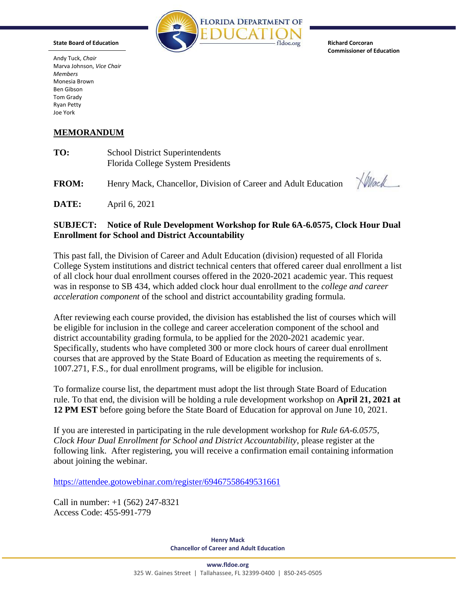

**Commissioner of Education** 

Andy Tuck, *Chair*  Marva Johnson, *Vice Chair Members*  Monesia Brown Ben Gibson Tom Grady Ryan Petty Joe York

## **MEMORANDUM**

| TO: | <b>School District Superintendents</b> |
|-----|----------------------------------------|
|     | Florida College System Presidents      |

**FROM:** Henry Mack, Chancellor, Division of Career and Adult Education

 $\sqrt{Mac}$ 

**DATE:** April 6, 2021

## **SUBJECT: Notice of Rule Development Workshop for Rule 6A-6.0575, Clock Hour Dual Enrollment for School and District Accountability**

This past fall, the Division of Career and Adult Education (division) requested of all Florida College System institutions and district technical centers that offered career dual enrollment a list of all clock hour dual enrollment courses offered in the 2020-2021 academic year. This request was in response to SB 434, which added clock hour dual enrollment to the *college and career acceleration component* of the school and district accountability grading formula.

After reviewing each course provided, the division has established the list of courses which will be eligible for inclusion in the college and career acceleration component of the school and district accountability grading formula, to be applied for the 2020-2021 academic year. Specifically, students who have completed 300 or more clock hours of career dual enrollment courses that are approved by the State Board of Education as meeting the requirements of s. 1007.271, F.S., for dual enrollment programs, will be eligible for inclusion.

To formalize course list, the department must adopt the list through State Board of Education rule. To that end, the division will be holding a rule development workshop on **April 21, 2021 at 12 PM EST** before going before the State Board of Education for approval on June 10, 2021.

If you are interested in participating in the rule development workshop for *Rule 6A-6.0575, Clock Hour Dual Enrollment for School and District Accountability*, please register at the following link. After registering, you will receive a confirmation email containing information about joining the webinar.

<https://attendee.gotowebinar.com/register/69467558649531661>

Call in number: +1 (562) 247-8321 Access Code: 455-991-779

> **Henry Mack Chancellor of Career and Adult Education**